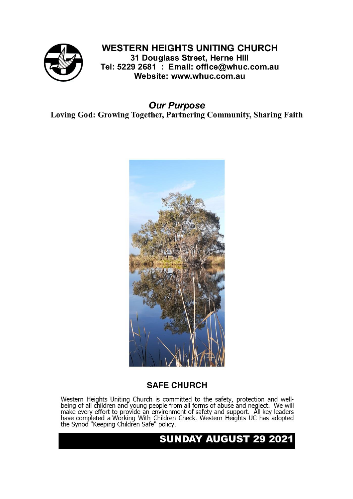

#### **WESTERN HEIGHTS UNITING CHURCH**

31 Douglass Street, Herne Hill Tel: 5229 2681 : Email: office@whuc.com.au Website: www.whuc.com.au

**Our Purpose** Loving God: Growing Together, Partnering Community, Sharing Faith



#### **SAFE CHURCH**

Western Heights Uniting Church is committed to the safety, protection and well-<br>being of all children and young people from all forms of abuse and neglect. We will<br>make every effort to provide an environment of safety and

#### **SUNDAY AUGUST 29 2021**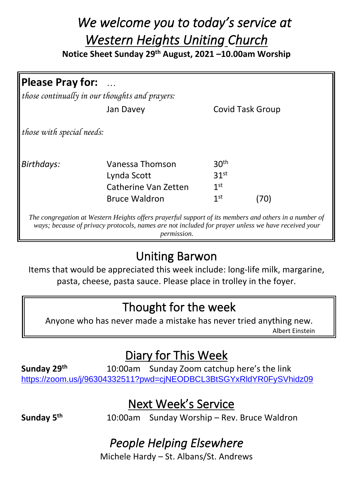## *We welcome you to today's service at Western Heights Uniting Church*

**Notice Sheet Sunday 29th August, 2021 –10.00am Worship**

| <b>Please Pray for:</b><br>$\cdots$            |                      |                         |     |
|------------------------------------------------|----------------------|-------------------------|-----|
| those continually in our thoughts and prayers: |                      |                         |     |
|                                                | Jan Davey            | <b>Covid Task Group</b> |     |
| those with special needs:                      |                      |                         |     |
| <b>Birthdays:</b>                              | Vanessa Thomson      | 30 <sup>th</sup>        |     |
|                                                | Lynda Scott          | 31 <sup>st</sup>        |     |
|                                                | Catherine Van Zetten | 1 <sup>st</sup>         |     |
|                                                | <b>Bruce Waldron</b> | 1 <sup>st</sup>         | 70) |

*The congregation at Western Heights offers prayerful support of its members and others in a number of ways; because of privacy protocols, names are not included for prayer unless we have received your permission.*

### Uniting Barwon

Items that would be appreciated this week include: long-life milk, margarine, pasta, cheese, pasta sauce. Please place in trolley in the foyer.

#### Thought for the week

Anyone who has never made a mistake has never tried anything new. Albert Einstein

## Diary for This Week

**Sunday 29th** 10:00am Sunday Zoom catchup here's the link <https://zoom.us/j/96304332511?pwd=cjNEODBCL3BtSGYxRldYR0FySVhidz09>

#### Next Week's Service

**Sunday 5**

**th** 10:00am Sunday Worship – Rev. Bruce Waldron

### *People Helping Elsewhere*

Michele Hardy – St. Albans/St. Andrews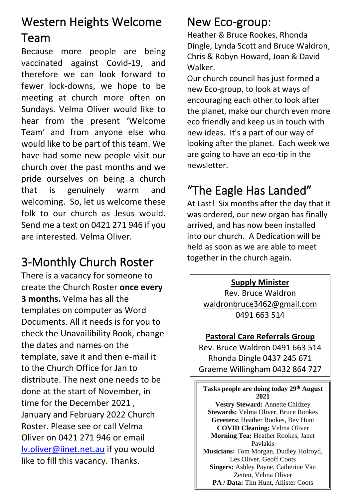# Western Heights Welcome

#### Team

Because more people are being vaccinated against Covid-19, and therefore we can look forward to fewer lock-downs, we hope to be meeting at church more often on Sundays. Velma Oliver would like to hear from the present 'Welcome Team' and from anyone else who would like to be part of this team. We have had some new people visit our church over the past months and we pride ourselves on being a church that is genuinely warm and welcoming. So, let us welcome these folk to our church as Jesus would. Send me a text on 0421 271 946 if you are interested. Velma Oliver.

# 3-Monthly Church Roster

There is a vacancy for someone to create the Church Roster **once every 3 months.** Velma has all the templates on computer as Word Documents. All it needs is for you to check the Unavailibility Book, change the dates and names on the template, save it and then e-mail it to the Church Office for Jan to distribute. The next one needs to be done at the start of November, in time for the December 2021 , January and February 2022 Church Roster. Please see or call Velma Oliver on 0421 271 946 or email [lv.oliver@iinet.net.au](mailto:lv.oliver@iinet.net.au) if you would like to fill this vacancy. Thanks.

### New Eco-group:

Heather & Bruce Rookes, Rhonda Dingle, Lynda Scott and Bruce Waldron, Chris & Robyn Howard, Joan & David Walker.

Our church council has just formed a new Eco-group, to look at ways of encouraging each other to look after the planet, make our church even more eco friendly and keep us in touch with new ideas. It's a part of our way of looking after the planet. Each week we are going to have an eco-tip in the newsletter.

# "The Eagle Has Landed"

At Last! Six months after the day that it was ordered, our new organ has finally arrived, and has now been installed into our church. A Dedication will be held as soon as we are able to meet together in the church again.

**Supply Minister**

Rev. Bruce Waldron [waldronbruce3462@gmail.com](mailto:waldronbruce3462@gmail.com) 0491 663 514

#### **Pastoral Care Referrals Group**

Rev. Bruce Waldron 0491 663 514 Rhonda Dingle 0437 245 671 Graeme Willingham 0432 864 727

**Tasks people are doing today 29th August 2021 Vestry Steward:** Annette Chidzey **Stewards:** Velma Oliver, Bruce Rookes **Greeters:** Heather Rookes, Bev Hunt **COVID Cleaning:** Velma Oliver **Morning Tea:** Heather Rookes, Janet Pavlakis **Musicians:** Tom Morgan, Dudley Holroyd, Les Oliver, Geoff Coots **Singers:** Ashley Payne, Catherine Van Zetten, Velma Oliver

**PA / Data:** Tim Hunt, Allister Coots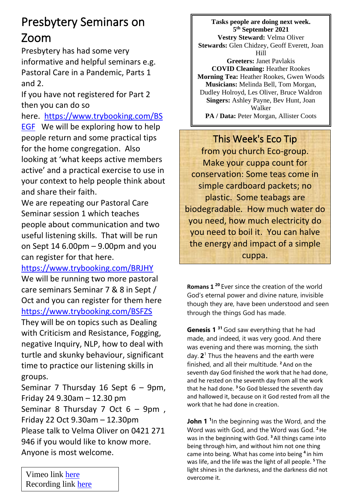## Presbytery Seminars on Zoom

Presbytery has had some very informative and helpful seminars e.g. Pastoral Care in a Pandemic, Parts 1 and 2.

If you have not registered for Part 2 then you can do so

here. [https://www.trybooking.com/BS](https://www.trybooking.com/BSEGF) [EGF](https://www.trybooking.com/BSEGF) We will be exploring how to help people return and some practical tips for the home congregation. Also looking at 'what keeps active members active' and a practical exercise to use in your context to help people think about and share their faith.

We are repeating our Pastoral Care Seminar session 1 which teaches people about communication and two useful listening skills. That will be run on Sept 14 6.00pm – 9.00pm and you can register for that here.

<https://www.trybooking.com/BRJHY>

We will be running two more pastoral care seminars Seminar 7 & 8 in Sept / Oct and you can register for them here <https://www.trybooking.com/BSFZS>

They will be on topics such as Dealing with Criticism and Resistance, Fogging, negative Inquiry, NLP, how to deal with turtle and skunky behaviour, significant time to practice our listening skills in groups.

Seminar 7 Thursday 16 Sept 6 – 9pm, Friday 24 9.30am – 12.30 pm Seminar 8 Thursday 7 Oct 6 – 9pm , Friday 22 Oct 9.30am – 12.30pm Please talk to Velma Oliver on 0421 271 946 if you would like to know more. Anyone is most welcome.

**Tasks people are doing next week. 5 th September 2021 Vestry Steward:** Velma Oliver **Stewards:** Glen Chidzey, Geoff Everett, Joan Hill **Greeters:** Janet Pavlakis **COVID Cleaning:** Heather Rookes **Morning Tea:** Heather Rookes, Gwen Woods **Musicians:** Melinda Bell, Tom Morgan, Dudley Holroyd, Les Oliver, Bruce Waldron **Singers:** Ashley Payne, Bev Hunt, Joan Walker

PA / Data: Peter Morgan, Allister Coots

This Week's Eco Tip from you church Eco-group. Make your cuppa count for conservation: Some teas come in simple cardboard packets; no plastic. Some teabags are biodegradable. How much water do you need, how much electricity do you need to boil it. You can halve the energy and impact of a simple cuppa.

**Romans 1 <sup>20</sup>** Ever since the creation of the world God's eternal power and divine nature, invisible though they are, have been understood and seen through the things God has made.

**Genesis 1 <sup>31</sup>**God saw everything that he had made, and indeed, it was very good. And there was evening and there was morning, the sixth day. **2** 1 Thus the heavens and the earth were finished, and all their multitude. **<sup>2</sup>**And on the seventh day God finished the work that he had done, and he rested on the seventh day from all the work that he had done. **<sup>3</sup>** So God blessed the seventh day and hallowed it, because on it God rested from all the work that he had done in creation.

**John 1**<sup>1</sup>In the beginning was the Word, and the Word was with God, and the Word was God. **<sup>2</sup>**He was in the beginning with God. **<sup>3</sup>**All things came into being through him, and without him not one thing came into being. What has come into being **<sup>4</sup>** in him was life, and the life was the light of all people. **<sup>5</sup>** The light shines in the darkness, and the darkness did not overcome it.

Vimeo link [here](https://vimeo.com/whuc) Recording link [here](http://whuc.com.au/resources/)